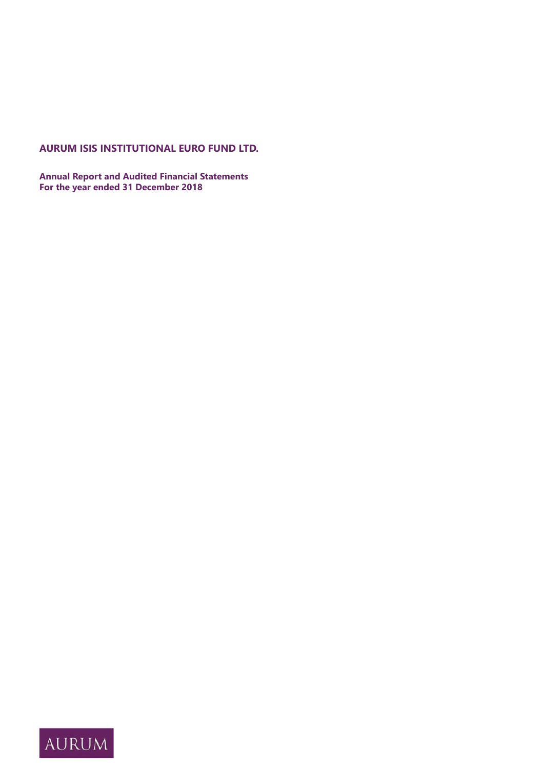# **AURUM ISIS INSTITUTIONAL EURO FUND LTD.**

**Annual Report and Audited Financial Statements For the year ended 31 December 2018**

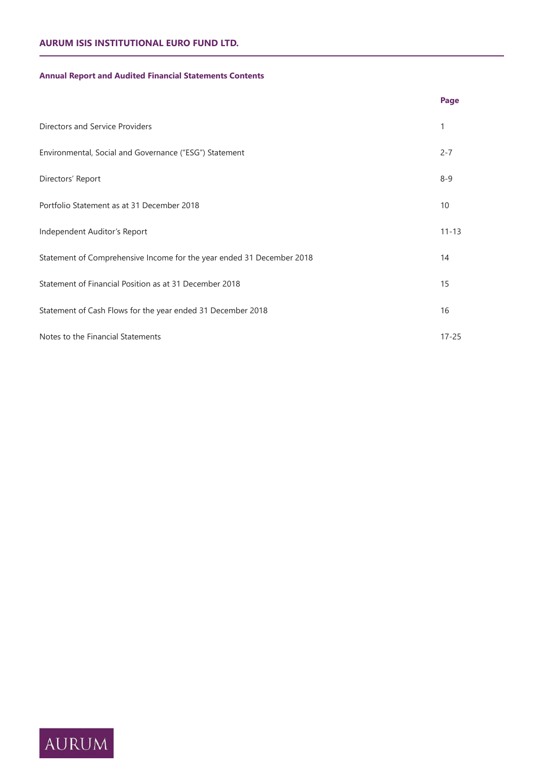# **Annual Report and Audited Financial Statements Contents**

|                                                                       | Page      |
|-----------------------------------------------------------------------|-----------|
| Directors and Service Providers                                       |           |
| Environmental, Social and Governance ("ESG") Statement                | $2 - 7$   |
| Directors' Report                                                     | $8 - 9$   |
| Portfolio Statement as at 31 December 2018                            | 10        |
| Independent Auditor's Report                                          | $11 - 13$ |
| Statement of Comprehensive Income for the year ended 31 December 2018 | 14        |
| Statement of Financial Position as at 31 December 2018                | 15        |
| Statement of Cash Flows for the year ended 31 December 2018           | 16        |
| Notes to the Financial Statements                                     | $17 - 25$ |

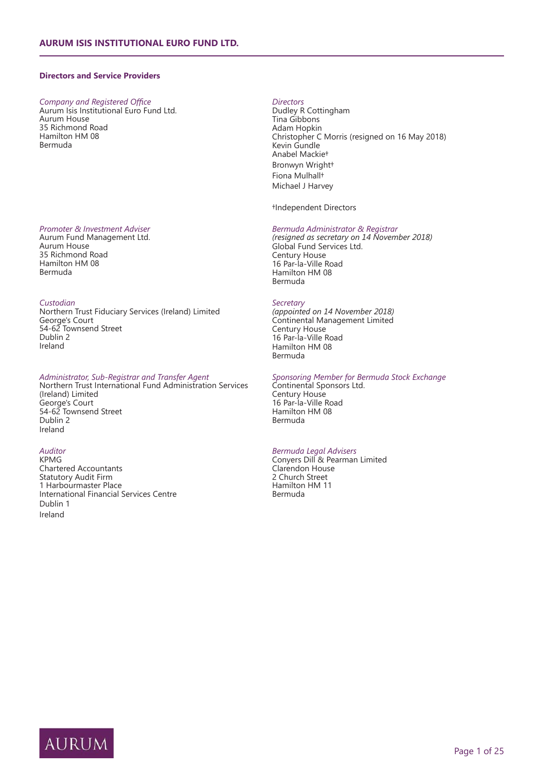### **Directors and Service Providers**

#### Company and Registered Office

Aurum Isis Institutional Euro Fund Ltd. Aurum House 35 Richmond Road Hamilton HM 08 Bermuda

## *Promoter & Investment Adviser*

Aurum Fund Management Ltd. Aurum House 35 Richmond Road Hamilton HM 08 Bermuda

#### *Custodian*

Northern Trust Fiduciary Services (Ireland) Limited George's Court 54-62 Townsend Street Dublin 2 Ireland

#### *Administrator, Sub-Registrar and Transfer Agent*

Northern Trust International Fund Administration Services (Ireland) Limited George's Court 54-62 Townsend Street Dublin 2 Ireland

## *Auditor*

KPMG Chartered Accountants Statutory Audit Firm 1 Harbourmaster Place International Financial Services Centre Dublin 1 Ireland

#### *'ireFtors*

Dudley R Cottingham Tina Gibbons Adam Hopkin Christopher C Morris (resigned on 16 May 2018) Kevin Gundle Anabel Mackie† Bronwyn Wright† Fiona Mulhall† Michael J Harvey

†Independent Directors

#### *Bermuda Administrator & Registrar*

*(resigned as secretary on 14 November 2018)* Global Fund Services Ltd. Century House 16 Par-la-Ville Road Hamilton HM 08 Bermuda

#### *SeFretar\*

*(appointed on 14 November 2018)* Continental Management Limited Century House 16 Par-la-Ville Road Hamilton HM 08 Bermuda

#### **Sponsoring Member for Bermuda Stock Exchange**

Continental Sponsors Ltd. Century House 16 Par-la-Ville Road Hamilton HM 08 Bermuda

#### *Bermuda Legal Advisers*

Conyers Dill & Pearman Limited Clarendon House 2 Church Street Hamilton HM 11 Bermuda

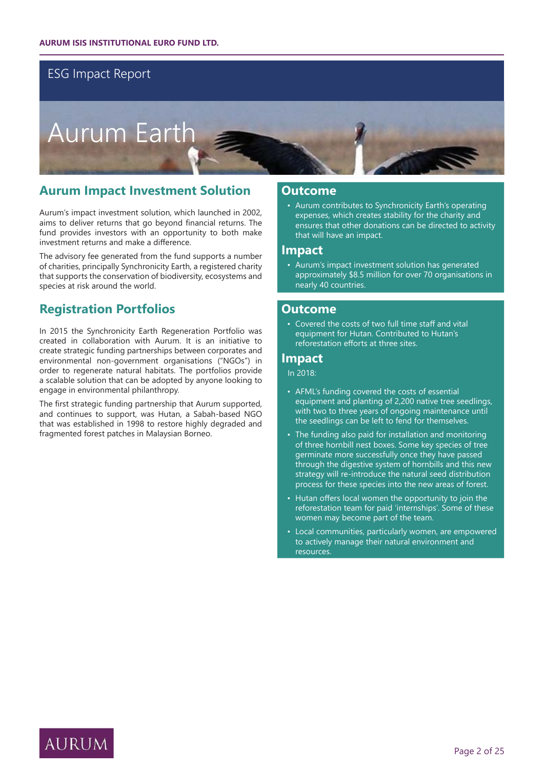ESG Impact Report

# Aurum Earth

# **Aurum Impact Investment Solution Outcome**

Aurum's impact investment solution, which launched in 2002, aims to deliver returns that go beyond financial returns. The fund provides investors with an opportunity to both make investment returns and make a difference.

The advisory fee generated from the fund supports a number of charities, principally Synchronicity Earth, a registered charity that supports the conservation of biodiversity, ecosystems and species at risk around the world.

# **Registration Portfolios Outcome**

In 2015 the Synchronicity Earth Regeneration Portfolio was created in collaboration with Aurum. It is an initiative to create strategic funding partnerships between corporates and environmental non-government organisations ("NGOs") in order to regenerate natural habitats. The portfolios provide a scalable solution that can be adopted by anyone looking to engage in environmental philanthropy.

The first strategic funding partnership that Aurum supported, and continues to support, was Hutan, a Sabah-based NGO that was established in 1998 to restore highly degraded and fragmented forest patches in Malaysian Borneo.

• Aurum contributes to Synchronicity Earth's operating expenses, which creates stability for the charity and ensures that other donations can be directed to activity that will have an impact.

## **Impact**

• Aurum's impact investment solution has generated approximately \$8.5 million for over 70 organisations in nearly 40 countries.

• Covered the costs of two full time staff and vital equipment for Hutan. Contributed to Hutan's reforestation efforts at three sites.

# **Impact**

In 2018:

- AFML's funding covered the costs of essential equipment and planting of 2,200 native tree seedlings, with two to three years of ongoing maintenance until the seedlings can be left to fend for themselves.
- The funding also paid for installation and monitoring of three hornbill nest boxes. Some key species of tree germinate more successfully once they have passed through the digestive system of hornbills and this new strategy will re-introduce the natural seed distribution process for these species into the new areas of forest.
- Hutan offers local women the opportunity to join the reforestation team for paid 'internships'. Some of these women may become part of the team.
- Local communities, particularly women, are empowered to actively manage their natural environment and resources.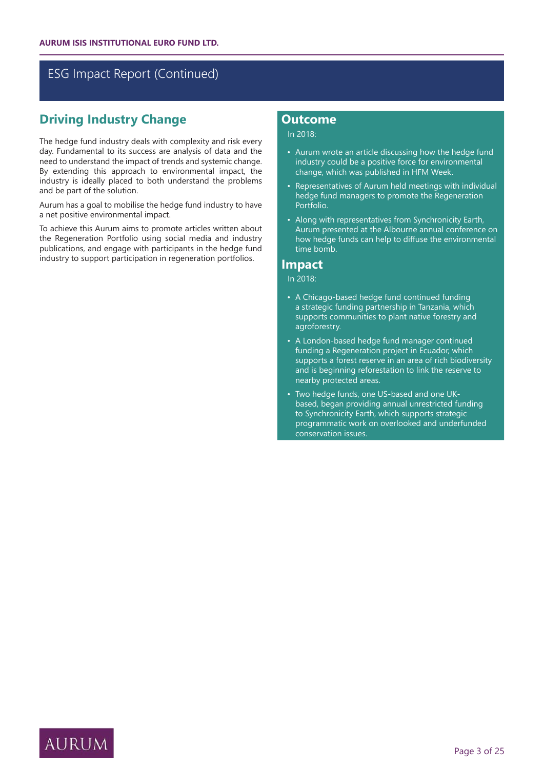# **Driving Industry Change <b>COUTCOME Outcome**

The hedge fund industry deals with complexity and risk every day. Fundamental to its success are analysis of data and the need to understand the impact of trends and systemic change. By extending this approach to environmental impact, the industry is ideally placed to both understand the problems and be part of the solution.

Aurum has a goal to mobilise the hedge fund industry to have a net positive environmental impact.

To achieve this Aurum aims to promote articles written about the Regeneration Portfolio using social media and industry publications, and engage with participants in the hedge fund industry to support participation in regeneration portfolios. **Impact**

## In 2018:

- Aurum wrote an article discussing how the hedge fund industry could be a positive force for environmental change, which was published in HFM Week.
- Representatives of Aurum held meetings with individual hedge fund managers to promote the Regeneration Portfolio.
- Along with representatives from Synchronicity Earth, Aurum presented at the Albourne annual conference on how hedge funds can help to diffuse the environmental time bomb.

## In 2018:

- A Chicago-based hedge fund continued funding a strategic funding partnership in Tanzania, which supports communities to plant native forestry and agroforestry.
- A London-based hedge fund manager continued funding a Regeneration project in Ecuador, which supports a forest reserve in an area of rich biodiversity and is beginning reforestation to link the reserve to nearby protected areas.
- Two hedge funds, one US-based and one UKbased, began providing annual unrestricted funding to Synchronicity Earth, which supports strategic programmatic work on overlooked and underfunded conservation issues.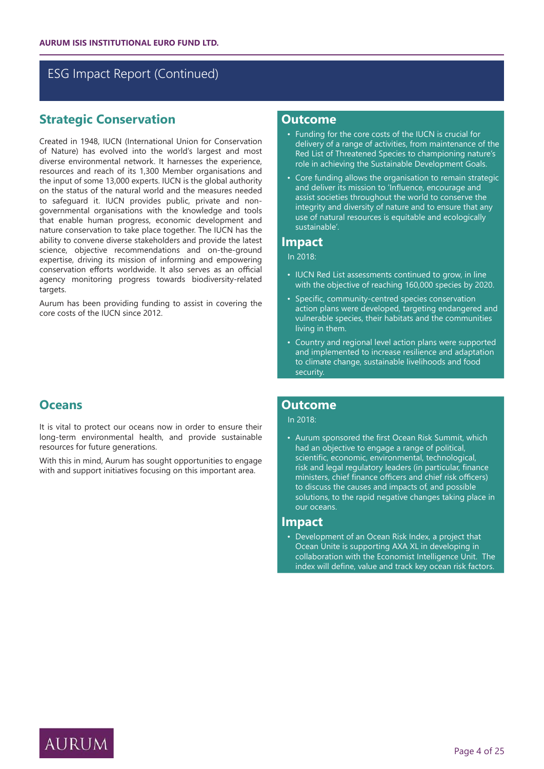# **Strategic Conservation Outcome**

Created in 1948, IUCN (International Union for Conservation of Nature) has evolved into the world's largest and most diverse environmental network. It harnesses the experience, resources and reach of its 1,300 Member organisations and the input of some 13,000 experts. IUCN is the global authority on the status of the natural world and the measures needed to safeguard it. IUCN provides public, private and nongovernmental organisations with the knowledge and tools that enable human progress, economic development and nature conservation to take place together. The IUCN has the ability to convene diverse stakeholders and provide the latest science, objective recommendations and on-the-ground expertise, driving its mission of informing and empowering conservation efforts worldwide. It also serves as an official agency monitoring progress towards biodiversity-related targets.

Aurum has been providing funding to assist in covering the core costs of the IUCN since 2012.

It is vital to protect our oceans now in order to ensure their long-term environmental health, and provide sustainable resources for future generations.

With this in mind, Aurum has sought opportunities to engage with and support initiatives focusing on this important area.

- Funding for the core costs of the IUCN is crucial for delivery of a range of activities, from maintenance of the Red List of Threatened Species to championing nature's role in achieving the Sustainable Development Goals.
- Core funding allows the organisation to remain strategic and deliver its mission to 'Influence, encourage and assist societies throughout the world to conserve the integrity and diversity of nature and to ensure that any use of natural resources is equitable and ecologically sustainable'.

# **Impact**

In 2018:

- IUCN Red List assessments continued to grow, in line with the objective of reaching 160,000 species by 2020.
- Specific, community-centred species conservation action plans were developed, targeting endangered and vulnerable species, their habitats and the communities living in them.
- Country and regional level action plans were supported and implemented to increase resilience and adaptation to climate change, sustainable livelihoods and food security.

## **Oceans Outcome**

#### In 2018:

• Aurum sponsored the first Ocean Risk Summit, which had an objective to engage a range of political, scientific, economic, environmental, technological, risk and legal regulatory leaders (in particular, finance ministers, chief finance officers and chief risk officers) to discuss the causes and impacts of, and possible solutions, to the rapid negative changes taking place in our oceans.

# **Impact**

• Development of an Ocean Risk Index, a project that Ocean Unite is supporting AXA XL in developing in collaboration with the Economist Intelligence Unit. The index will define, value and track key ocean risk factors.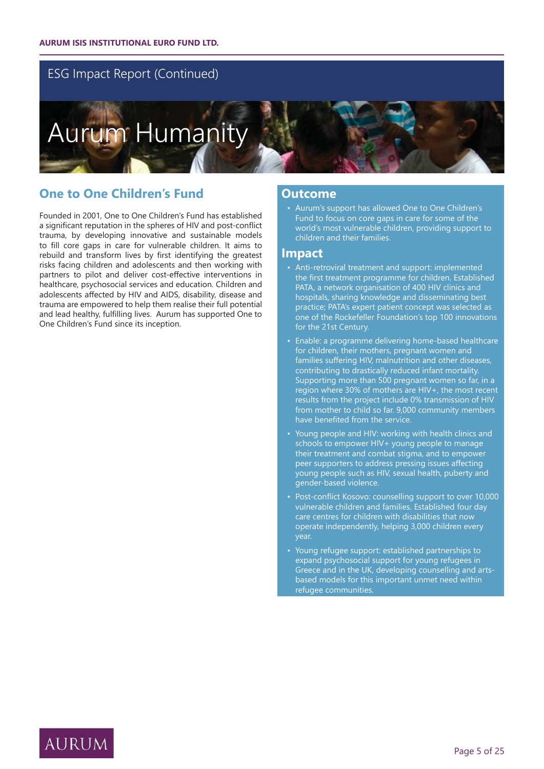

# **One to One Children's Fund Outcome**

Founded in 2001, One to One Children's Fund has established a significant reputation in the spheres of HIV and post-conflict trauma, by developing innovative and sustainable models to fill core gaps in care for vulnerable children. It aims to rebuild and transform lives by first identifying the greatest risks facing children and adolescents and then working with partners to pilot and deliver cost-effective interventions in healthcare, psychosocial services and education. Children and adolescents affected by HIV and AIDS, disability, disease and trauma are empowered to help them realise their full potential and lead healthy, fulfilling lives. Aurum has supported One to One Children's Fund since its inception.

• Aurum's support has allowed One to One Children's Fund to focus on core gaps in care for some of the world's most vulnerable children, providing support to children and their families.

## **Impact**

- Anti-retroviral treatment and support: implemented the first treatment programme for children. Established PATA, a network organisation of 400 HIV clinics and hospitals, sharing knowledge and disseminating best practice; PATA's expert patient concept was selected as one of the Rockefeller Foundation's top 100 innovations for the 21st Century.
- Enable: a programme delivering home-based healthcare for children, their mothers, pregnant women and families suffering HIV, malnutrition and other diseases, contributing to drastically reduced infant mortality. Supporting more than 500 pregnant women so far, in a region where 30% of mothers are HIV+, the most recent results from the project include 0% transmission of HIV from mother to child so far. 9,000 community members have benefited from the service.
- Young people and HIV: working with health clinics and schools to empower HIV+ young people to manage their treatment and combat stigma, and to empower peer supporters to address pressing issues affecting young people such as HIV, sexual health, puberty and gender-based violence.
- Post-conflict Kosovo: counselling support to over 10,000 vulnerable children and families. Established four day care centres for children with disabilities that now operate independently, helping 3,000 children every year.
- Young refugee support: established partnerships to expand psychosocial support for young refugees in Greece and in the UK, developing counselling and artsbased models for this important unmet need within refugee communities.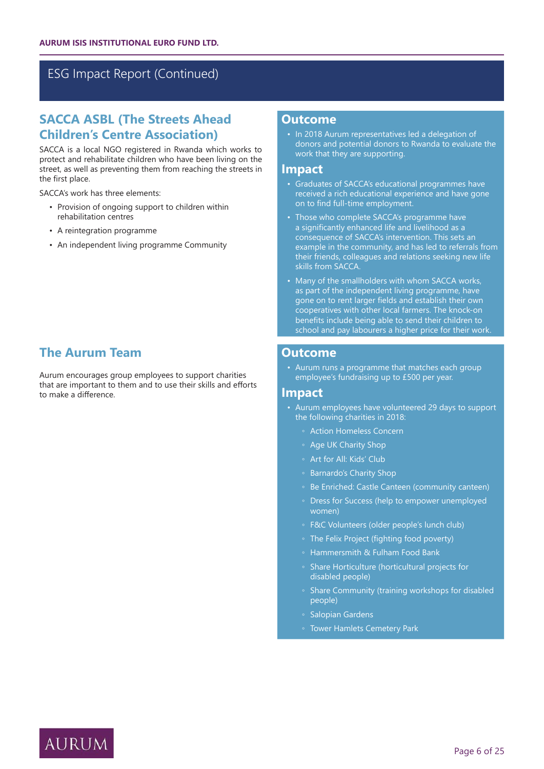# **SACCA ASBL (The Streets Ahead Children's Centre Association)**

SACCA is a local NGO registered in Rwanda which works to work that they are supporting. protect and rehabilitate children who have been living on the street, as well as preventing them from reaching the streets in the first place.

SACCA's work has three elements:

- Provision of ongoing support to children within rehabilitation centres
- A reintegration programme
- An independent living programme Community

# **The Aurum Team COUTCOMERGIST**

Aurum encourages group employees to support charities to the matches each group employee's fundraising up to £500 per year. That are important to them and to use their skills and efforts<br> **Impact** to make a difference.

# **Outcome**

• In 2018 Aurum representatives led a delegation of donors and potential donors to Rwanda to evaluate the

## **Impact**

- Graduates of SACCA's educational programmes have received a rich educational experience and have gone on to find full-time employment.
- Those who complete SACCA's programme have a significantly enhanced life and livelihood as a consequence of SACCA's intervention. This sets an example in the community, and has led to referrals from their friends, colleagues and relations seeking new life skills from SACCA.
- Many of the smallholders with whom SACCA works, as part of the independent living programme, have gone on to rent larger fields and establish their own cooperatives with other local farmers. The knock-on benefits include being able to send their children to school and pay labourers a higher price for their work.

- Aurum employees have volunteered 29 days to support the following charities in 2018:
	- **Action Homeless Concern**
	- Age UK Charity Shop
	- Art for All: Kids' Club
	- Barnardo's Charity Shop
	- Be Enriched: Castle Canteen (community canteen)
	- Dress for Success (help to empower unemployed women)
	- ń F&C Volunteers (older people's lunch club)
	- The Felix Project (fighting food poverty)
	- ń Hammersmith & Fulham Food Bank
	- **Share Horticulture (horticultural projects for** disabled people)
	- Share Community (training workshops for disabled people)
	- Salopian Gardens
	- **Tower Hamlets Cemetery Park**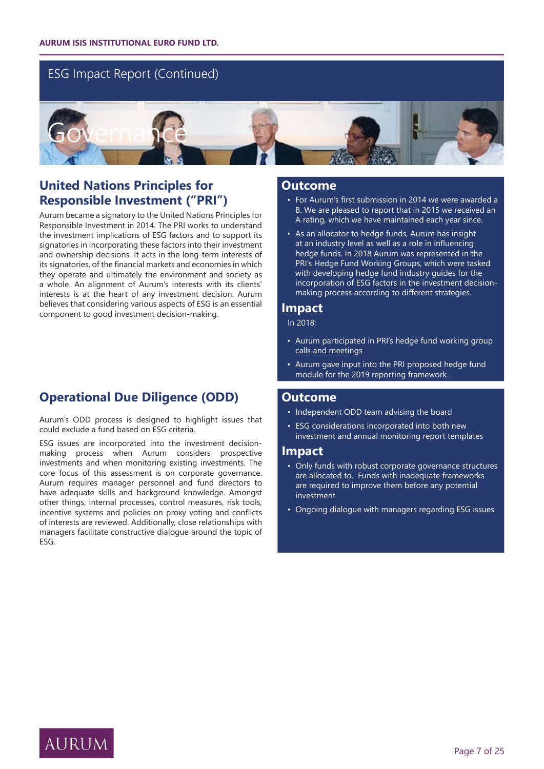

# **United Nations Principles for Responsible Investment ("PRI")**

Aurum became a signatory to the United Nations Principles for Responsible Investment in 2014. The PRI works to understand the investment implications of ESG factors and to support its signatories in incorporating these factors into their investment and ownership decisions. It acts in the long-term interests of its signatories, of the financial markets and economies in which they operate and ultimately the environment and society as a whole. An alignment of Aurum's interests with its clients' interests is at the heart of any investment decision. Aurum believes that considering various aspects of ESG is an essential component to good investment decision-making. **Impact**

# **Operational Due Diligence (ODD) Outcome**

Aurum's ODD process is designed to highlight issues that could exclude a fund based on ESG criteria.

ESG issues are incorporated into the investment decisionmaking process when Aurum considers prospective investments and when monitoring existing investments. The core focus of this assessment is on corporate governance. Aurum requires manager personnel and fund directors to have adequate skills and background knowledge. Amongst other things, internal processes, control measures, risk tools, incentive systems and policies on proxy voting and conflicts of interests are reviewed. Additionally, close relationships with managers facilitate constructive dialogue around the topic of ESG.

# **Outcome**

- For Aurum's first submission in 2014 we were awarded a B. We are pleased to report that in 2015 we received an A rating, which we have maintained each year since.
- As an allocator to hedge funds, Aurum has insight at an industry level as well as a role in influencing hedge funds. In 2018 Aurum was represented in the PRI's Hedge Fund Working Groups, which were tasked with developing hedge fund industry guides for the incorporation of ESG factors in the investment decisionmaking process according to different strategies.

#### In 2018:

- Aurum participated in PRI's hedge fund working group calls and meetings
- Aurum gave input into the PRI proposed hedge fund module for the 2019 reporting framework.

- Independent ODD team advising the board
- ESG considerations incorporated into both new investment and annual monitoring report templates

## **Impact**

- Only funds with robust corporate governance structures are allocated to. Funds with inadequate frameworks are required to improve them before any potential investment
- Ongoing dialogue with managers regarding ESG issues

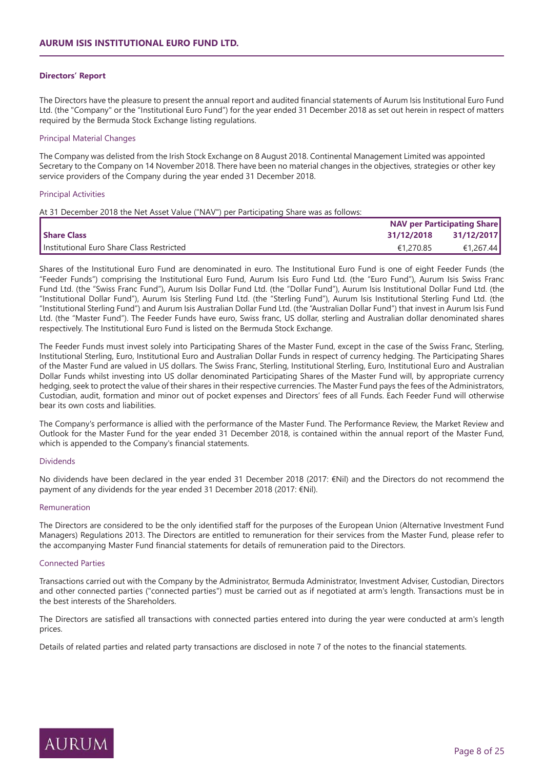#### **Directors' Report**

The Directors have the pleasure to present the annual report and audited financial statements of Aurum Isis Institutional Euro Fund Ltd. (the "Company" or the "Institutional Euro Fund") for the year ended 31 December 2018 as set out herein in respect of matters required by the Bermuda Stock Exchange listing regulations.

#### Principal Material Changes

The Company was delisted from the Irish Stock Exchange on 8 August 2018. Continental Management Limited was appointed Secretary to the Company on 14 November 2018. There have been no material changes in the objectives, strategies or other key service providers of the Company during the year ended 31 December 2018.

#### Principal Activities

At 31 December 2018 the Net Asset Value ("NAV") per Participating Share was as follows:

|                                             | <b>NAV per Participating Share</b> |            |  |
|---------------------------------------------|------------------------------------|------------|--|
| <b>Share Class</b>                          | 31/12/2018                         | 31/12/2017 |  |
| I Institutional Euro Share Class Restricted | €1,270.85                          | €1.267.44  |  |

Shares of the Institutional Euro Fund are denominated in euro. The Institutional Euro Fund is one of eight Feeder Funds (the "Feeder Funds") comprising the Institutional Euro Fund, Aurum Isis Euro Fund Ltd. (the "Euro Fund"), Aurum Isis Swiss Franc Fund Ltd. (the "Swiss Franc Fund"), Aurum Isis Dollar Fund Ltd. (the "Dollar Fund"), Aurum Isis Institutional Dollar Fund Ltd. (the "Institutional Dollar Fund"), Aurum Isis Sterling Fund Ltd. (the "Sterling Fund"), Aurum Isis Institutional Sterling Fund Ltd. (the "Institutional Sterling Fund") and Aurum Isis Australian Dollar Fund Ltd. (the "Australian Dollar Fund") that invest in Aurum Isis Fund Ltd. (the "Master Fund"). The Feeder Funds have euro, Swiss franc, US dollar, sterling and Australian dollar denominated shares respectively. The Institutional Euro Fund is listed on the Bermuda Stock Exchange.

The Feeder Funds must invest solely into Participating Shares of the Master Fund, except in the case of the Swiss Franc, Sterling, Institutional Sterling, Euro, Institutional Euro and Australian Dollar Funds in respect of currency hedging. The Participating Shares of the Master Fund are valued in US dollars. The Swiss Franc, Sterling, Institutional Sterling, Euro, Institutional Euro and Australian Dollar Funds whilst investing into US dollar denominated Participating Shares of the Master Fund will, by appropriate currency hedging, seek to protect the value of their shares in their respective currencies. The Master Fund pays the fees of the Administrators, Custodian, audit, formation and minor out of pocket expenses and Directors' fees of all Funds. Each Feeder Fund will otherwise bear its own costs and liabilities.

The Company's performance is allied with the performance of the Master Fund. The Performance Review, the Market Review and Outlook for the Master Fund for the year ended 31 December 2018, is contained within the annual report of the Master Fund, which is appended to the Company's financial statements.

#### Dividends

No dividends have been declared in the year ended 31 December 2018 (2017: €Nil) and the Directors do not recommend the payment of any dividends for the year ended 31 December 2018 (2017: €Nil).

#### Remuneration

The Directors are considered to be the only identified staff for the purposes of the European Union (Alternative Investment Fund Managers) Regulations 2013. The Directors are entitled to remuneration for their services from the Master Fund, please refer to the accompanying Master Fund financial statements for details of remuneration paid to the Directors.

#### Connected Parties

Transactions carried out with the Company by the Administrator, Bermuda Administrator, Investment Adviser, Custodian, Directors and other connected parties ("connected parties") must be carried out as if negotiated at arm's length. Transactions must be in the best interests of the Shareholders.

The Directors are satisfied all transactions with connected parties entered into during the year were conducted at arm's length prices.

Details of related parties and related party transactions are disclosed in note 7 of the notes to the financial statements.

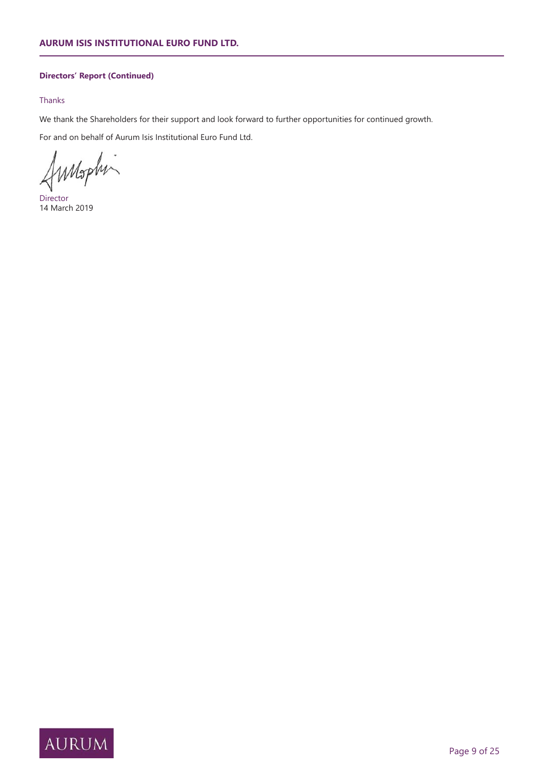## **Directors' Report (Continued)**

#### Thanks

We thank the Shareholders for their support and look forward to further opportunities for continued growth.

For and on behalf of Aurum Isis Institutional Euro Fund Ltd.

fungohi

Director 14 March 2019

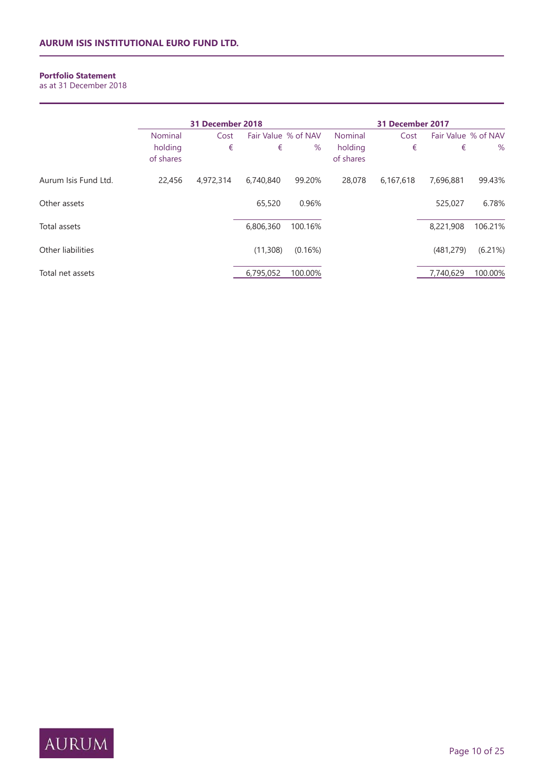# **Portfolio Statement**

as at 31 December 2018

|                      | 31 December 2018     |           |                     |         |                      | 31 December 2017 |                     |         |
|----------------------|----------------------|-----------|---------------------|---------|----------------------|------------------|---------------------|---------|
|                      | <b>Nominal</b>       | Cost      | Fair Value % of NAV |         | <b>Nominal</b>       | Cost             | Fair Value % of NAV |         |
|                      | holding<br>of shares | €         | €                   | %       | holding<br>of shares | €                | €                   | %       |
| Aurum Isis Fund Ltd. | 22,456               | 4,972,314 | 6,740,840           | 99.20%  | 28,078               | 6,167,618        | 7,696,881           | 99.43%  |
| Other assets         |                      |           | 65,520              | 0.96%   |                      |                  | 525,027             | 6.78%   |
| Total assets         |                      |           | 6,806,360           | 100.16% |                      |                  | 8,221,908           | 106.21% |
| Other liabilities    |                      |           | (11,308)            | (0.16%) |                      |                  | (481, 279)          | (6.21%) |
| Total net assets     |                      |           | 6,795,052           | 100.00% |                      |                  | 7,740,629           | 100.00% |

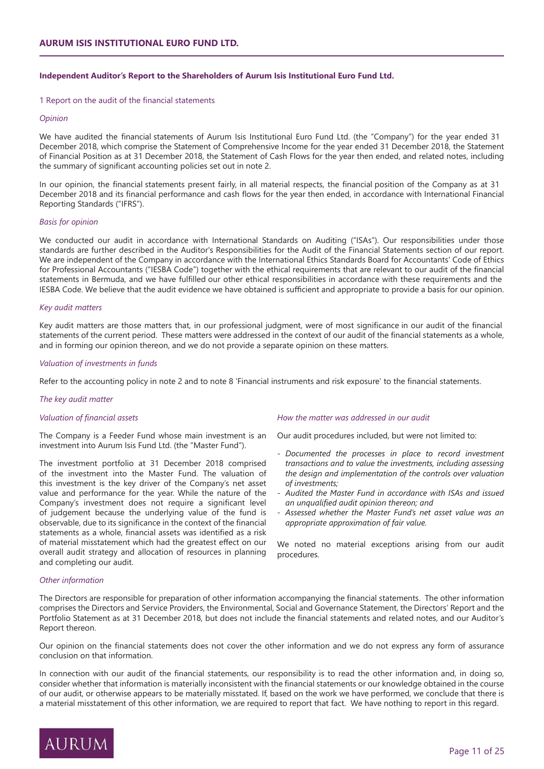#### **Independent Auditor's Report to the Shareholders of Aurum Isis Institutional Euro Fund Ltd.**

1 Report on the audit of the financial statements

#### *Opinion*

We have audited the financial statements of Aurum Isis Institutional Euro Fund Ltd. (the "Company") for the year ended 31 December 2018, which comprise the Statement of Comprehensive Income for the year ended 31 December 2018, the Statement of Financial Position as at 31 December 2018, the Statement of Cash Flows for the year then ended, and related notes, including the summary of significant accounting policies set out in note 2.

In our opinion, the financial statements present fairly, in all material respects, the financial position of the Company as at 31 December 2018 and its financial performance and cash flows for the year then ended, in accordance with International Financial Reporting Standards ("IFRS").

#### *Basis for opinion*

We conducted our audit in accordance with International Standards on Auditing ("ISAs"). Our responsibilities under those standards are further described in the Auditor's Responsibilities for the Audit of the Financial Statements section of our report. We are independent of the Company in accordance with the International Ethics Standards Board for Accountants' Code of Ethics for Professional Accountants ("IESBA Code") together with the ethical requirements that are relevant to our audit of the financial statements in Bermuda, and we have fulfilled our other ethical responsibilities in accordance with these requirements and the IESBA Code. We believe that the audit evidence we have obtained is sufficient and appropriate to provide a basis for our opinion.

#### *Key audit matters*

Key audit matters are those matters that, in our professional judgment, were of most significance in our audit of the financial statements of the current period. These matters were addressed in the context of our audit of the financial statements as a whole, and in forming our opinion thereon, and we do not provide a separate opinion on these matters.

#### *Valuation of investments in funds*

Refer to the accounting policy in note 2 and to note 8 'Financial instruments and risk exposure' to the financial statements.

#### *The key audit matter*

#### *Valuation of financial assets*

The Company is a Feeder Fund whose main investment is an investment into Aurum Isis Fund Ltd. (the "Master Fund").

The investment portfolio at 31 December 2018 comprised of the investment into the Master Fund. The valuation of this investment is the key driver of the Company's net asset value and performance for the year. While the nature of the Company's investment does not require a significant level of judgement because the underlying value of the fund is observable, due to its significance in the context of the financial statements as a whole, financial assets was identified as a risk of material misstatement which had the greatest effect on our overall audit strategy and allocation of resources in planning and completing our audit.

#### *How the matter was addressed in our audit*

Our audit procedures included, but were not limited to:

- *- 'oFumented the proFesses in plaFe to reFord investment transaFtions and to value the investments, inFluding assessing the design and implementation of the controls over valuation of investments;*
- *Audited the 0aster )und in aFFordanFe with ISAs and issued an unTualiÀed audit opinion thereon; and*
- *Assessed whether the Master Fund's net asset value was an appropriate approximation of fair value.*

We noted no material exceptions arising from our audit procedures.

#### *Other information*

The Directors are responsible for preparation of other information accompanying the financial statements. The other information comprises the Directors and Service Providers, the Environmental, Social and Governance Statement, the Directors' Report and the Portfolio Statement as at 31 December 2018, but does not include the financial statements and related notes, and our Auditor's Report thereon.

Our opinion on the financial statements does not cover the other information and we do not express any form of assurance conclusion on that information.

In connection with our audit of the financial statements, our responsibility is to read the other information and, in doing so, consider whether that information is materially inconsistent with the financial statements or our knowledge obtained in the course of our audit, or otherwise appears to be materially misstated. If, based on the work we have performed, we conclude that there is a material misstatement of this other information, we are required to report that fact. We have nothing to report in this regard.

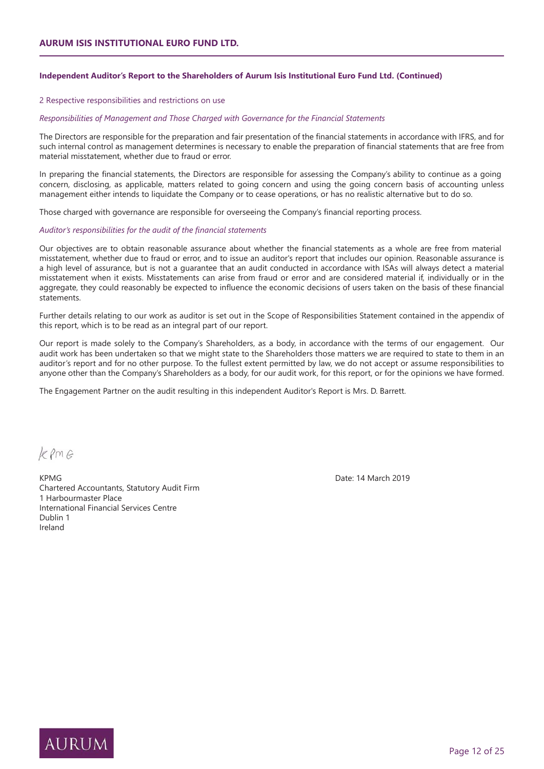## **Independent Auditor's Report to the Shareholders of Aurum Isis Institutional Euro Fund Ltd. (Continued)**

2 Respective responsibilities and restrictions on use

#### *Responsibilities of Management and Those Charged with \*overnanFe for the FinanFial Statements*

The Directors are responsible for the preparation and fair presentation of the financial statements in accordance with IFRS, and for such internal control as management determines is necessary to enable the preparation of financial statements that are free from material misstatement, whether due to fraud or error.

In preparing the financial statements, the Directors are responsible for assessing the Company's ability to continue as a going concern, disclosing, as applicable, matters related to going concern and using the going concern basis of accounting unless management either intends to liquidate the Company or to cease operations, or has no realistic alternative but to do so.

Those charged with governance are responsible for overseeing the Company's financial reporting process.

#### *Auditor's responsibilities for the audit of the financial statements*

Our objectives are to obtain reasonable assurance about whether the financial statements as a whole are free from material misstatement, whether due to fraud or error, and to issue an auditor's report that includes our opinion. Reasonable assurance is a high level of assurance, but is not a guarantee that an audit conducted in accordance with ISAs will always detect a material misstatement when it exists. Misstatements can arise from fraud or error and are considered material if, individually or in the aggregate, they could reasonably be expected to influence the economic decisions of users taken on the basis of these financial statements.

Further details relating to our work as auditor is set out in the Scope of Responsibilities Statement contained in the appendix of this report, which is to be read as an integral part of our report.

Our report is made solely to the Company's Shareholders, as a body, in accordance with the terms of our engagement. Our audit work has been undertaken so that we might state to the Shareholders those matters we are required to state to them in an auditor's report and for no other purpose. To the fullest extent permitted by law, we do not accept or assume responsibilities to anyone other than the Company's Shareholders as a body, for our audit work, for this report, or for the opinions we have formed.

The Engagement Partner on the audit resulting in this independent Auditor's Report is Mrs. D. Barrett.

 $k$  PM  $6$ 

KPMG **Date: 14 March 2019** Chartered Accountants, Statutory Audit Firm 1 Harbourmaster Place International Financial Services Centre Dublin 1 Ireland

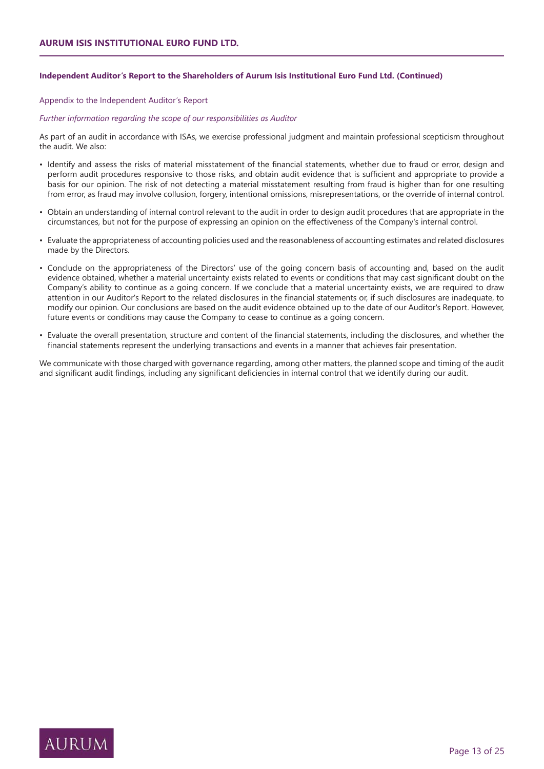#### **Independent Auditor's Report to the Shareholders of Aurum Isis Institutional Euro Fund Ltd. (Continued)**

#### Appendix to the Independent Auditor's Report

#### *Further information regarding the sFope of our responsibilities as Auditor*

As part of an audit in accordance with ISAs, we exercise professional judgment and maintain professional scepticism throughout the audit. We also:

- Identify and assess the risks of material misstatement of the financial statements, whether due to fraud or error, design and perform audit procedures responsive to those risks, and obtain audit evidence that is sufficient and appropriate to provide a basis for our opinion. The risk of not detecting a material misstatement resulting from fraud is higher than for one resulting from error, as fraud may involve collusion, forgery, intentional omissions, misrepresentations, or the override of internal control.
- Obtain an understanding of internal control relevant to the audit in order to design audit procedures that are appropriate in the circumstances, but not for the purpose of expressing an opinion on the effectiveness of the Company's internal control.
- Evaluate the appropriateness of accounting policies used and the reasonableness of accounting estimates and related disclosures made by the Directors.
- Conclude on the appropriateness of the Directors' use of the going concern basis of accounting and, based on the audit evidence obtained, whether a material uncertainty exists related to events or conditions that may cast significant doubt on the Company's ability to continue as a going concern. If we conclude that a material uncertainty exists, we are required to draw attention in our Auditor's Report to the related disclosures in the financial statements or, if such disclosures are inadequate, to modify our opinion. Our conclusions are based on the audit evidence obtained up to the date of our Auditor's Report. However, future events or conditions may cause the Company to cease to continue as a going concern.
- Evaluate the overall presentation, structure and content of the financial statements, including the disclosures, and whether the financial statements represent the underlying transactions and events in a manner that achieves fair presentation.

We communicate with those charged with governance regarding, among other matters, the planned scope and timing of the audit and significant audit findings, including any significant deficiencies in internal control that we identify during our audit.

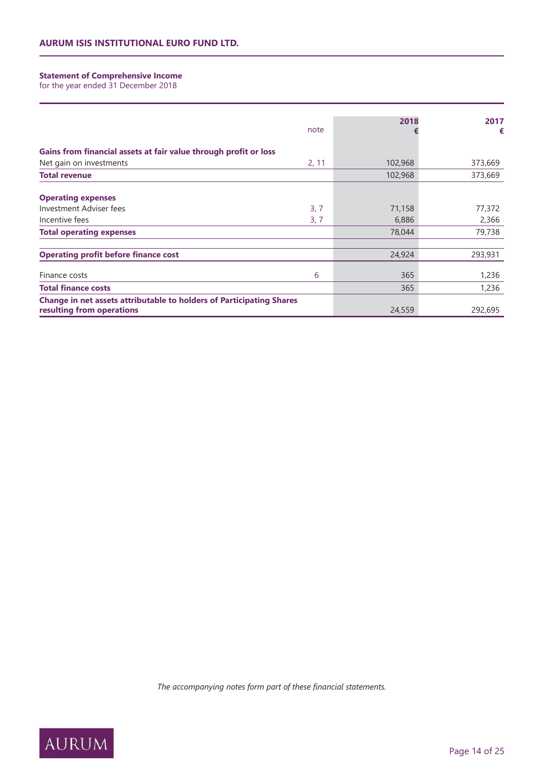## **Statement of Comprehensive Income**

for the year ended 31 December 2018

|                                                                                                          | note  | 2018    | 2017<br>€ |
|----------------------------------------------------------------------------------------------------------|-------|---------|-----------|
| Gains from financial assets at fair value through profit or loss                                         |       |         |           |
| Net gain on investments                                                                                  | 2, 11 | 102,968 | 373,669   |
| <b>Total revenue</b>                                                                                     |       | 102,968 | 373,669   |
| <b>Operating expenses</b>                                                                                |       |         |           |
| Investment Adviser fees                                                                                  | 3, 7  | 71,158  | 77,372    |
| Incentive fees                                                                                           | 3, 7  | 6,886   | 2,366     |
| <b>Total operating expenses</b>                                                                          |       | 78,044  | 79,738    |
| <b>Operating profit before finance cost</b>                                                              |       | 24,924  | 293,931   |
| Finance costs                                                                                            | 6     | 365     | 1,236     |
| <b>Total finance costs</b>                                                                               |       | 365     | 1,236     |
| <b>Change in net assets attributable to holders of Participating Shares</b><br>resulting from operations |       | 24,559  | 292,695   |

*The accompanying notes form part of these financial statements.* 

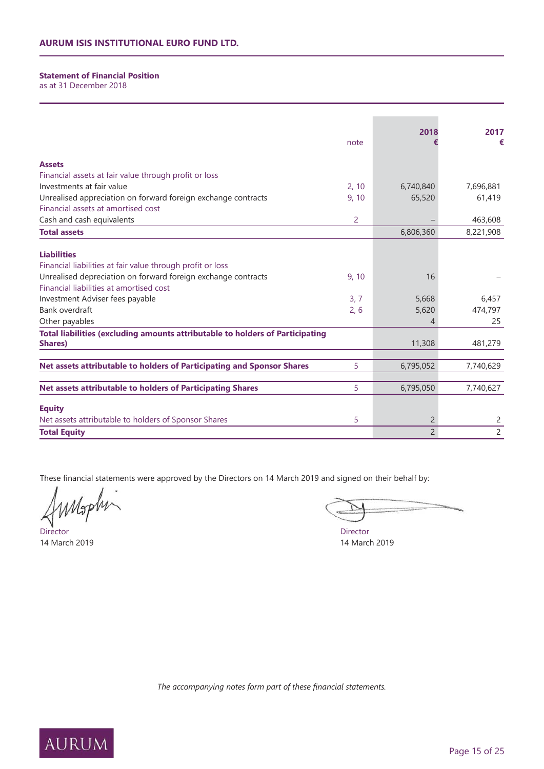## **Statement of Financial Position**

as at 31 December 2018

|                                                                                                  |       | 2018           | 2017           |
|--------------------------------------------------------------------------------------------------|-------|----------------|----------------|
|                                                                                                  | note  |                | €              |
| <b>Assets</b>                                                                                    |       |                |                |
| Financial assets at fair value through profit or loss                                            |       |                |                |
| Investments at fair value                                                                        | 2, 10 | 6,740,840      | 7,696,881      |
| Unrealised appreciation on forward foreign exchange contracts                                    | 9, 10 | 65,520         | 61,419         |
| Financial assets at amortised cost                                                               |       |                |                |
| Cash and cash equivalents                                                                        | 2     |                | 463,608        |
| <b>Total assets</b>                                                                              |       | 6,806,360      | 8,221,908      |
| <b>Liabilities</b>                                                                               |       |                |                |
|                                                                                                  |       |                |                |
| Financial liabilities at fair value through profit or loss                                       |       |                |                |
| Unrealised depreciation on forward foreign exchange contracts                                    | 9, 10 | 16             |                |
| Financial liabilities at amortised cost                                                          |       |                |                |
| Investment Adviser fees payable                                                                  | 3, 7  | 5,668          | 6,457          |
| Bank overdraft                                                                                   | 2, 6  | 5,620          | 474,797        |
| Other payables                                                                                   |       | 4              | 25             |
| Total liabilities (excluding amounts attributable to holders of Participating<br><b>Shares</b> ) |       | 11,308         | 481,279        |
|                                                                                                  |       |                |                |
| Net assets attributable to holders of Participating and Sponsor Shares                           | 5     | 6,795,052      | 7,740,629      |
|                                                                                                  |       |                |                |
| Net assets attributable to holders of Participating Shares                                       | 5.    | 6,795,050      | 7,740,627      |
| <b>Equity</b>                                                                                    |       |                |                |
| Net assets attributable to holders of Sponsor Shares                                             | 5     | 2              | 2              |
| <b>Total Equity</b>                                                                              |       | $\overline{2}$ | $\overline{c}$ |

These financial statements were approved by the Directors on 14 March 2019 and signed on their behalf by:

Mophi

Director Director 14 March 2019 14 March 2019

*The accompanying notes form part of these financial statements.* 

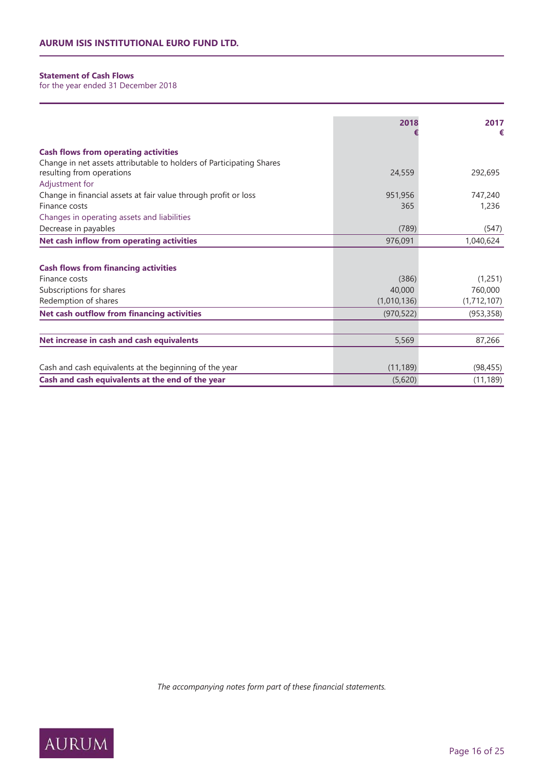# **Statement of Cash Flows**

for the year ended 31 December 2018

|                                                                                                   | 2018        | 2017<br>€   |
|---------------------------------------------------------------------------------------------------|-------------|-------------|
| <b>Cash flows from operating activities</b>                                                       |             |             |
| Change in net assets attributable to holders of Participating Shares<br>resulting from operations | 24,559      | 292,695     |
| Adjustment for                                                                                    |             |             |
| Change in financial assets at fair value through profit or loss                                   | 951,956     | 747,240     |
| Finance costs                                                                                     | 365         | 1,236       |
| Changes in operating assets and liabilities                                                       |             |             |
| Decrease in payables                                                                              | (789)       | (547)       |
| Net cash inflow from operating activities                                                         | 976,091     | 1,040,624   |
| <b>Cash flows from financing activities</b>                                                       |             |             |
| Finance costs                                                                                     | (386)       | (1,251)     |
| Subscriptions for shares                                                                          | 40,000      | 760,000     |
| Redemption of shares                                                                              | (1,010,136) | (1,712,107) |
| <b>Net cash outflow from financing activities</b>                                                 | (970, 522)  | (953, 358)  |
|                                                                                                   |             |             |
| Net increase in cash and cash equivalents                                                         | 5,569       | 87,266      |
|                                                                                                   |             |             |
| Cash and cash equivalents at the beginning of the year                                            | (11, 189)   | (98, 455)   |
| Cash and cash equivalents at the end of the year                                                  | (5,620)     | (11, 189)   |

*The accompanying notes form part of these financial statements.* 

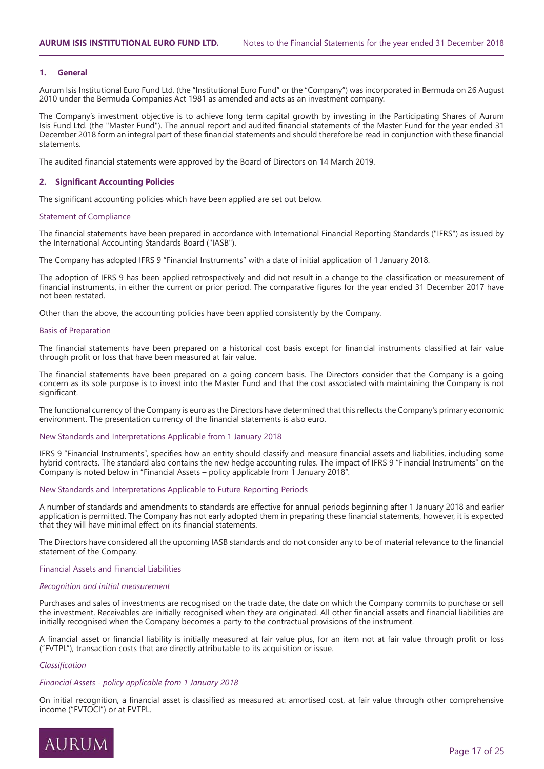#### **1. General**

Aurum Isis Institutional Euro Fund Ltd. (the "Institutional Euro Fund" or the "Company") was incorporated in Bermuda on 26 August 2010 under the Bermuda Companies Act 1981 as amended and acts as an investment company.

The Company's investment objective is to achieve long term capital growth by investing in the Participating Shares of Aurum Isis Fund Ltd. (the "Master Fund"). The annual report and audited financial statements of the Master Fund for the year ended 31 December 2018 form an integral part of these financial statements and should therefore be read in conjunction with these financial statements.

The audited financial statements were approved by the Board of Directors on 14 March 2019.

#### **2. Significant Accounting Policies**

The significant accounting policies which have been applied are set out below.

#### Statement of Compliance

The financial statements have been prepared in accordance with International Financial Reporting Standards ("IFRS") as issued by the International Accounting Standards Board ("IASB").

The Company has adopted IFRS 9 "Financial Instruments" with a date of initial application of 1 January 2018.

The adoption of IFRS 9 has been applied retrospectively and did not result in a change to the classification or measurement of financial instruments, in either the current or prior period. The comparative figures for the year ended 31 December 2017 have not been restated.

Other than the above, the accounting policies have been applied consistently by the Company.

#### Basis of Preparation

The financial statements have been prepared on a historical cost basis except for financial instruments classified at fair value through profit or loss that have been measured at fair value.

The financial statements have been prepared on a going concern basis. The Directors consider that the Company is a going concern as its sole purpose is to invest into the Master Fund and that the cost associated with maintaining the Company is not significant.

The functional currency of the Company is euro as the Directors have determined that this reflects the Company's primary economic environment. The presentation currency of the financial statements is also euro.

#### New Standards and Interpretations Applicable from 1 January 2018

IFRS 9 "Financial Instruments", specifies how an entity should classify and measure financial assets and liabilities, including some hybrid contracts. The standard also contains the new hedge accounting rules. The impact of IFRS 9 "Financial Instruments" on the Company is noted below in "Financial Assets – policy applicable from 1 January 2018".

#### New Standards and Interpretations Applicable to Future Reporting Periods

A number of standards and amendments to standards are effective for annual periods beginning after 1 January 2018 and earlier application is permitted. The Company has not early adopted them in preparing these financial statements, however, it is expected that they will have minimal effect on its financial statements.

The Directors have considered all the upcoming IASB standards and do not consider any to be of material relevance to the financial statement of the Company.

#### Financial Assets and Financial Liabilities

#### *ReFognition and initial measurement*

Purchases and sales of investments are recognised on the trade date, the date on which the Company commits to purchase or sell the investment. Receivables are initially recognised when they are originated. All other financial assets and financial liabilities are initially recognised when the Company becomes a party to the contractual provisions of the instrument.

A financial asset or financial liability is initially measured at fair value plus, for an item not at fair value through profit or loss ("FVTPL"), transaction costs that are directly attributable to its acquisition or issue.

#### *ClassiÀFation*

#### *Financial Assets - policy applicable from 1 January 2018*

On initial recognition, a financial asset is classified as measured at: amortised cost, at fair value through other comprehensive income ("FVTOCI") or at FVTPL.

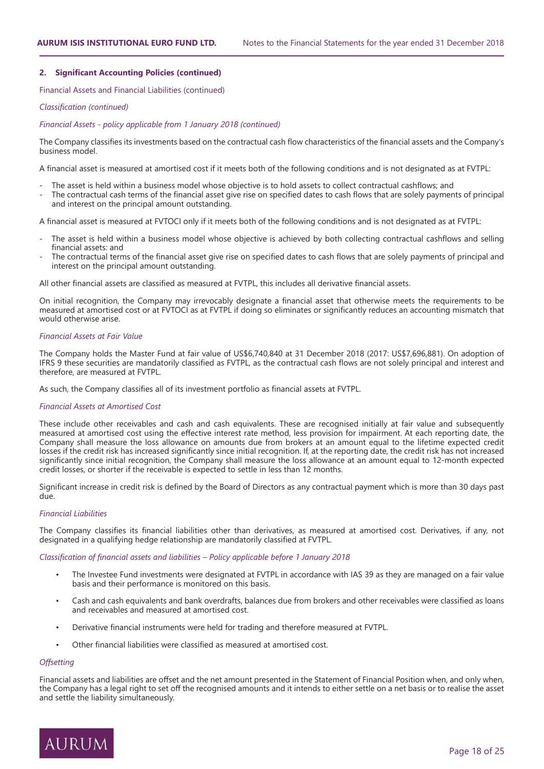#### **2. Significant Accounting Policies (continued)**

Financial Assets and Financial Liabilities (continued)

#### $C$ *lassification* (continued)

*Financial Assets - policy applicable from 1 January 2018 (continued)* 

The Company classifies its investments based on the contractual cash flow characteristics of the financial assets and the Company's business model.

A financial asset is measured at amortised cost if it meets both of the following conditions and is not designated as at FVTPL:

- The asset is held within a business model whose objective is to hold assets to collect contractual cashflows; and
- The contractual cash terms of the financial asset give rise on specified dates to cash flows that are solely payments of principal and interest on the principal amount outstanding.

A financial asset is measured at FVTOCI only if it meets both of the following conditions and is not designated as at FVTPL:

- The asset is held within a business model whose objective is achieved by both collecting contractual cashflows and selling  $f$ inancial assets: and
- The contractual terms of the financial asset give rise on specified dates to cash flows that are solely payments of principal and interest on the principal amount outstanding.

All other financial assets are classified as measured at FVTPL, this includes all derivative financial assets.

On initial recognition, the Company may irrevocably designate a financial asset that otherwise meets the requirements to be measured at amortised cost or at FVTOCI as at FVTPL if doing so eliminates or significantly reduces an accounting mismatch that would otherwise arise.

#### *FinanFial Assets at Fair Value*

The Company holds the Master Fund at fair value of US\$6,740,840 at 31 December 2018 (2017: US\$7,696,881). On adoption of IFRS 9 these securities are mandatorily classified as FVTPL, as the contractual cash flows are not solely principal and interest and therefore, are measured at FVTPL.

As such, the Company classifies all of its investment portfolio as financial assets at FVTPL.

#### *FinanFial Assets at Amortised Cost*

These include other receivables and cash and cash equivalents. These are recognised initially at fair value and subsequently measured at amortised cost using the effective interest rate method, less provision for impairment. At each reporting date, the Company shall measure the loss allowance on amounts due from brokers at an amount equal to the lifetime expected credit losses if the credit risk has increased significantly since initial recognition. If, at the reporting date, the credit risk has not increased significantly since initial recognition, the Company shall measure the loss allowance at an amount equal to 12-month expected credit losses, or shorter if the receivable is expected to settle in less than 12 months.

Significant increase in credit risk is defined by the Board of Directors as any contractual payment which is more than 30 days past due.

#### *FinanFial Liabilities*

The Company classifies its financial liabilities other than derivatives, as measured at amortised cost. Derivatives, if any, not designated in a qualifying hedge relationship are mandatorily classified at FVTPL.

*Classification of financial assets and liabilities - Policy applicable before 1 January 2018* 

- The Investee Fund investments were designated at FVTPL in accordance with IAS 39 as they are managed on a fair value basis and their performance is monitored on this basis.
- Cash and cash equivalents and bank overdrafts, balances due from brokers and other receivables were classified as loans and receivables and measured at amortised cost.
- Derivative financial instruments were held for trading and therefore measured at FVTPL.
- Other financial liabilities were classified as measured at amortised cost.

## *O૽setting*

Financial assets and liabilities are offset and the net amount presented in the Statement of Financial Position when, and only when, the Company has a legal right to set off the recognised amounts and it intends to either settle on a net basis or to realise the asset and settle the liability simultaneously.

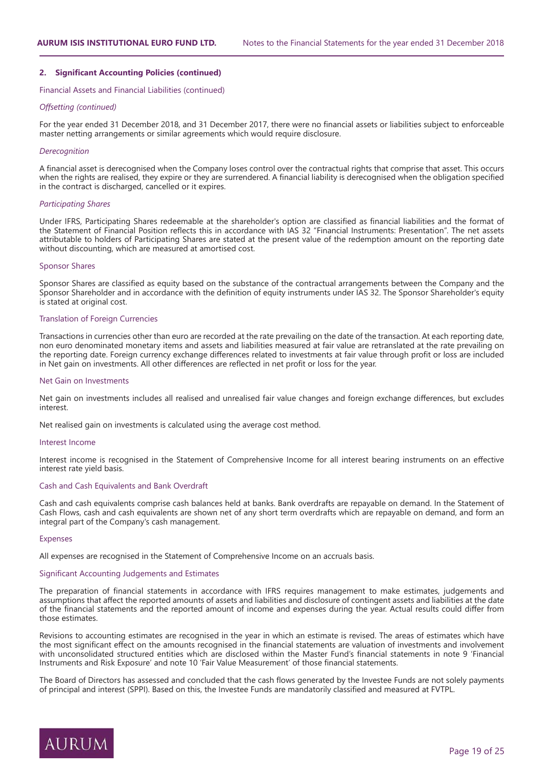#### **2. Significant Accounting Policies (continued)**

Financial Assets and Financial Liabilities (continued)

#### $Off$ *setting (continued)*

For the year ended 31 December 2018, and 31 December 2017, there were no financial assets or liabilities subject to enforceable master netting arrangements or similar agreements which would require disclosure.

#### *'ereFognition*

A financial asset is derecognised when the Company loses control over the contractual rights that comprise that asset. This occurs when the rights are realised, they expire or they are surrendered. A financial liability is derecognised when the obligation specified in the contract is discharged, cancelled or it expires.

#### *PartiFipating Shares*

Under IFRS, Participating Shares redeemable at the shareholder's option are classified as financial liabilities and the format of the Statement of Financial Position reflects this in accordance with IAS 32 "Financial Instruments: Presentation". The net assets attributable to holders of Participating Shares are stated at the present value of the redemption amount on the reporting date without discounting, which are measured at amortised cost.

#### Sponsor Shares

Sponsor Shares are classified as equity based on the substance of the contractual arrangements between the Company and the Sponsor Shareholder and in accordance with the definition of equity instruments under IAS 32. The Sponsor Shareholder's equity is stated at original cost.

#### Translation of Foreign Currencies

Transactions in currencies other than euro are recorded at the rate prevailing on the date of the transaction. At each reporting date, non euro denominated monetary items and assets and liabilities measured at fair value are retranslated at the rate prevailing on the reporting date. Foreign currency exchange differences related to investments at fair value through profit or loss are included in Net gain on investments. All other differences are reflected in net profit or loss for the year.

#### Net Gain on Investments

Net gain on investments includes all realised and unrealised fair value changes and foreign exchange differences, but excludes interest.

Net realised gain on investments is calculated using the average cost method.

#### Interest Income

Interest income is recognised in the Statement of Comprehensive Income for all interest bearing instruments on an effective interest rate yield basis.

#### Cash and Cash Equivalents and Bank Overdraft

Cash and cash equivalents comprise cash balances held at banks. Bank overdrafts are repayable on demand. In the Statement of Cash Flows, cash and cash equivalents are shown net of any short term overdrafts which are repayable on demand, and form an integral part of the Company's cash management.

#### Expenses

All expenses are recognised in the Statement of Comprehensive Income on an accruals basis.

#### Significant Accounting Judgements and Estimates

The preparation of financial statements in accordance with IFRS requires management to make estimates, judgements and assumptions that affect the reported amounts of assets and liabilities and disclosure of contingent assets and liabilities at the date of the financial statements and the reported amount of income and expenses during the year. Actual results could differ from those estimates.

Revisions to accounting estimates are recognised in the year in which an estimate is revised. The areas of estimates which have the most significant effect on the amounts recognised in the financial statements are valuation of investments and involvement with unconsolidated structured entities which are disclosed within the Master Fund's financial statements in note 9 'Financial Instruments and Risk Exposure' and note 10 'Fair Value Measurement' of those financial statements.

The Board of Directors has assessed and concluded that the cash flows generated by the Investee Funds are not solely payments of principal and interest (SPPI). Based on this, the Investee Funds are mandatorily classified and measured at FVTPL.

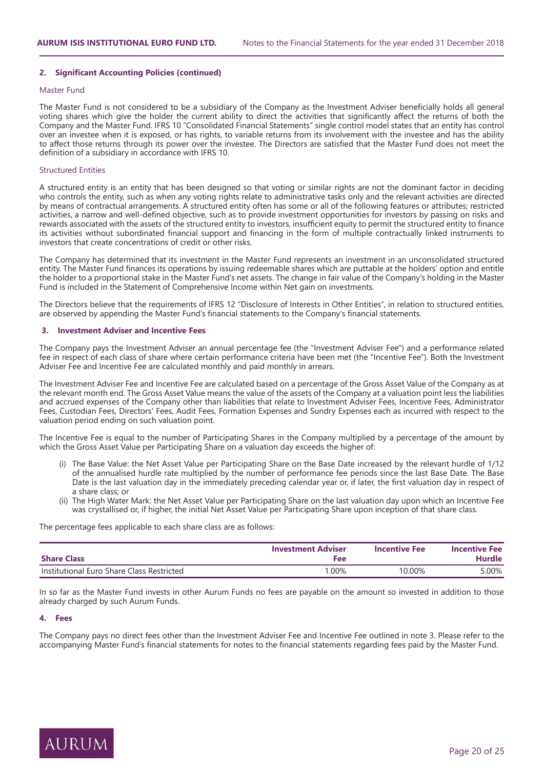#### **2. Significant Accounting Policies (continued)**

#### Master Fund

The Master Fund is not considered to be a subsidiary of the Company as the Investment Adviser beneficially holds all general voting shares which give the holder the current ability to direct the activities that significantly affect the returns of both the Company and the Master Fund. IFRS 10 "Consolidated Financial Statements" single control model states that an entity has control over an investee when it is exposed, or has rights, to variable returns from its involvement with the investee and has the ability to affect those returns through its power over the investee. The Directors are satisfied that the Master Fund does not meet the definition of a subsidiary in accordance with IFRS 10.

#### Structured Entities

A structured entity is an entity that has been designed so that voting or similar rights are not the dominant factor in deciding who controls the entity, such as when any voting rights relate to administrative tasks only and the relevant activities are directed by means of contractual arrangements. A structured entity often has some or all of the following features or attributes; restricted activities, a narrow and well-defined objective, such as to provide investment opportunities for investors by passing on risks and rewards associated with the assets of the structured entity to investors, insufficient equity to permit the structured entity to finance its activities without subordinated financial support and financing in the form of multiple contractually linked instruments to investors that create concentrations of credit or other risks.

The Company has determined that its investment in the Master Fund represents an investment in an unconsolidated structured entity. The Master Fund finances its operations by issuing redeemable shares which are puttable at the holders' option and entitle the holder to a proportional stake in the Master Fund's net assets. The change in fair value of the Company's holding in the Master Fund is included in the Statement of Comprehensive Income within Net gain on investments.

The Directors believe that the requirements of IFRS 12 "Disclosure of Interests in Other Entities", in relation to structured entities, are observed by appending the Master Fund's financial statements to the Company's financial statements.

#### **3. Investment Adviser and Incentive Fees**

The Company pays the Investment Adviser an annual percentage fee (the "Investment Adviser Fee") and a performance related fee in respect of each class of share where certain performance criteria have been met (the "Incentive Fee"). Both the Investment Adviser Fee and Incentive Fee are calculated monthly and paid monthly in arrears.

The Investment Adviser Fee and Incentive Fee are calculated based on a percentage of the Gross Asset Value of the Company as at the relevant month end. The Gross Asset Value means the value of the assets of the Company at a valuation point less the liabilities and accrued expenses of the Company other than liabilities that relate to Investment Adviser Fees, Incentive Fees, Administrator Fees, Custodian Fees, Directors' Fees, Audit Fees, Formation Expenses and Sundry Expenses each as incurred with respect to the valuation period ending on such valuation point.

The Incentive Fee is equal to the number of Participating Shares in the Company multiplied by a percentage of the amount by which the Gross Asset Value per Participating Share on a valuation day exceeds the higher of:

- (i) The Base Value: the Net Asset Value per Participating Share on the Base Date increased by the relevant hurdle of 1/12 of the annualised hurdle rate multiplied by the number of performance fee periods since the last Base Date. The Base Date is the last valuation day in the immediately preceding calendar year or, if later, the first valuation day in respect of a share class; or
- (ii) The High Water Mark: the Net Asset Value per Participating Share on the last valuation day upon which an Incentive Fee was crystallised or, if higher, the initial Net Asset Value per Participating Share upon inception of that share class.

The percentage fees applicable to each share class are as follows:

| <b>Share Class</b>                        | <b>Investment Adviser</b><br>Fee | <b>Incentive Fee</b> | <b>Incentive Fee</b><br><b>Hurdle</b> |
|-------------------------------------------|----------------------------------|----------------------|---------------------------------------|
| Institutional Euro Share Class Restricted | 1.00%                            | 10.00%               | 5.00%                                 |

In so far as the Master Fund invests in other Aurum Funds no fees are payable on the amount so invested in addition to those already charged by such Aurum Funds.

#### **4. Fees**

The Company pays no direct fees other than the Investment Adviser Fee and Incentive Fee outlined in note 3. Please refer to the accompanying Master Fund's financial statements for notes to the financial statements regarding fees paid by the Master Fund.

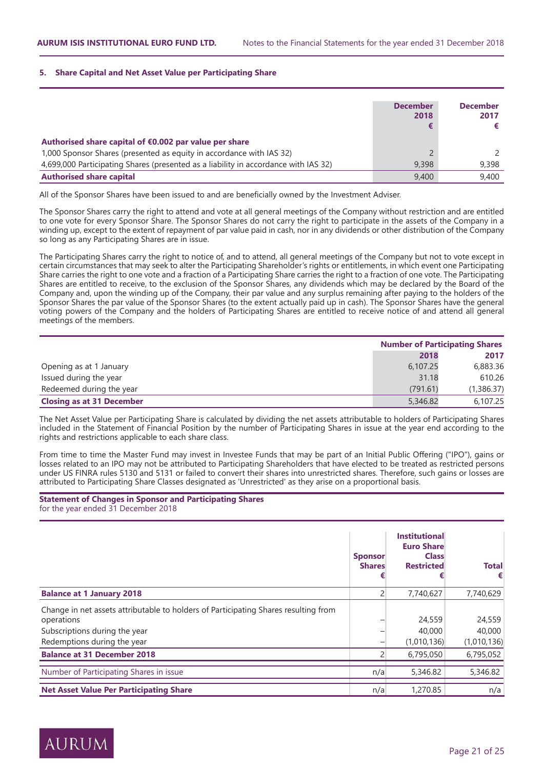#### **5. Share Capital and Net Asset Value per Participating Share**

|                                                                                     | <b>December</b><br>2018 | <b>December</b><br>2017 |
|-------------------------------------------------------------------------------------|-------------------------|-------------------------|
| Authorised share capital of €0.002 par value per share                              |                         |                         |
| 1,000 Sponsor Shares (presented as equity in accordance with IAS 32)                |                         |                         |
| 4,699,000 Participating Shares (presented as a liability in accordance with IAS 32) | 9,398                   | 9,398                   |
| <b>Authorised share capital</b>                                                     | 9,400                   | 9,400                   |

All of the Sponsor Shares have been issued to and are beneficially owned by the Investment Adviser.

The Sponsor Shares carry the right to attend and vote at all general meetings of the Company without restriction and are entitled to one vote for every Sponsor Share. The Sponsor Shares do not carry the right to participate in the assets of the Company in a winding up, except to the extent of repayment of par value paid in cash, nor in any dividends or other distribution of the Company so long as any Participating Shares are in issue.

The Participating Shares carry the right to notice of, and to attend, all general meetings of the Company but not to vote except in certain circumstances that may seek to alter the Participating Shareholder's rights or entitlements, in which event one Participating Share carries the right to one vote and a fraction of a Participating Share carries the right to a fraction of one vote. The Participating Shares are entitled to receive, to the exclusion of the Sponsor Shares, any dividends which may be declared by the Board of the Company and, upon the winding up of the Company, their par value and any surplus remaining after paying to the holders of the Sponsor Shares the par value of the Sponsor Shares (to the extent actually paid up in cash). The Sponsor Shares have the general voting powers of the Company and the holders of Participating Shares are entitled to receive notice of and attend all general meetings of the members.

|                                  | <b>Number of Participating Shares</b> |            |  |
|----------------------------------|---------------------------------------|------------|--|
|                                  | 2018                                  | 2017       |  |
| Opening as at 1 January          | 6.107.25                              | 6,883.36   |  |
| Issued during the year           | 31.18                                 | 610.26     |  |
| Redeemed during the year         | (791.61)                              | (1,386.37) |  |
| <b>Closing as at 31 December</b> | 5,346.82                              | 6.107.25   |  |

The Net Asset Value per Participating Share is calculated by dividing the net assets attributable to holders of Participating Shares included in the Statement of Financial Position by the number of Participating Shares in issue at the year end according to the rights and restrictions applicable to each share class.

From time to time the Master Fund may invest in Investee Funds that may be part of an Initial Public Offering ("IPO"), gains or losses related to an IPO may not be attributed to Participating Shareholders that have elected to be treated as restricted persons under US FINRA rules 5130 and 5131 or failed to convert their shares into unrestricted shares. Therefore, such gains or losses are attributed to Participating Share Classes designated as 'Unrestricted' as they arise on a proportional basis.

#### **Statement of Changes in Sponsor and Participating Shares** for the year ended 31 December 2018

|                                                                                                                                                                   | <b>Sponsor</b><br><b>Shares</b> | <b>Institutional</b><br><b>Euro Share</b><br><b>Class</b><br><b>Restricted</b> | <b>Total</b><br>€               |
|-------------------------------------------------------------------------------------------------------------------------------------------------------------------|---------------------------------|--------------------------------------------------------------------------------|---------------------------------|
| <b>Balance at 1 January 2018</b>                                                                                                                                  |                                 | 7,740,627                                                                      | 7,740,629                       |
| Change in net assets attributable to holders of Participating Shares resulting from<br>operations<br>Subscriptions during the year<br>Redemptions during the year |                                 | 24,559<br>40,000<br>(1,010,136)                                                | 24,559<br>40,000<br>(1,010,136) |
| <b>Balance at 31 December 2018</b>                                                                                                                                |                                 | 6,795,050                                                                      | 6,795,052                       |
| Number of Participating Shares in issue                                                                                                                           | n/a                             | 5,346.82                                                                       | 5,346.82                        |
| <b>Net Asset Value Per Participating Share</b>                                                                                                                    | n/a                             | 1,270.85                                                                       | n/a                             |

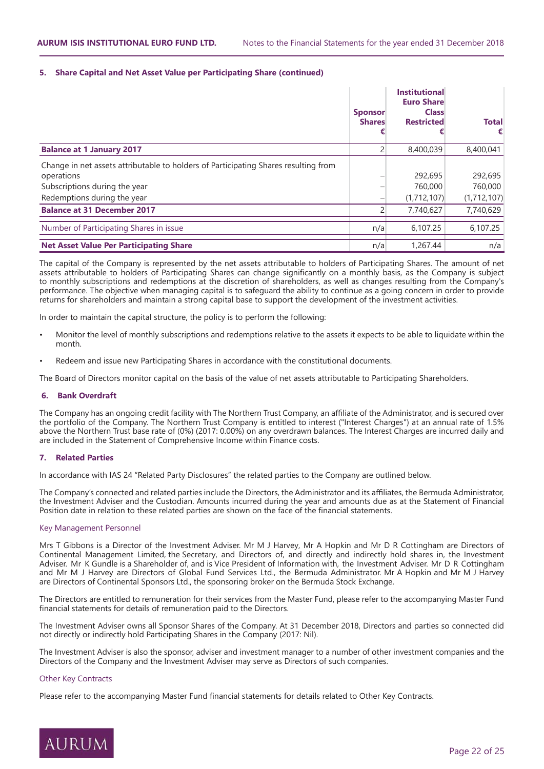#### **5. Share Capital and Net Asset Value per Participating Share (continued)**

|                                                                                     | <b>Sponsor</b><br><b>Shares</b> | <b>Institutional</b><br><b>Euro Share</b><br><b>Class</b><br><b>Restricted</b> | <b>Total</b><br>€ |
|-------------------------------------------------------------------------------------|---------------------------------|--------------------------------------------------------------------------------|-------------------|
| <b>Balance at 1 January 2017</b>                                                    |                                 | 8,400,039                                                                      | 8,400,041         |
| Change in net assets attributable to holders of Participating Shares resulting from |                                 |                                                                                |                   |
| operations                                                                          |                                 | 292,695                                                                        | 292,695           |
| Subscriptions during the year                                                       |                                 | 760,000                                                                        | 760,000           |
| Redemptions during the year                                                         |                                 | (1,712,107)                                                                    | (1,712,107)       |
| <b>Balance at 31 December 2017</b>                                                  |                                 | 7,740,627                                                                      | 7,740,629         |
| Number of Participating Shares in issue                                             | n/a                             | 6,107.25                                                                       | 6,107.25          |
| <b>Net Asset Value Per Participating Share</b>                                      | n/a                             | 1,267.44                                                                       | n/a               |

The capital of the Company is represented by the net assets attributable to holders of Participating Shares. The amount of net assets attributable to holders of Participating Shares can change significantly on a monthly basis, as the Company is subject to monthly subscriptions and redemptions at the discretion of shareholders, as well as changes resulting from the Company's performance. The objective when managing capital is to safeguard the ability to continue as a going concern in order to provide returns for shareholders and maintain a strong capital base to support the development of the investment activities.

In order to maintain the capital structure, the policy is to perform the following:

- Monitor the level of monthly subscriptions and redemptions relative to the assets it expects to be able to liquidate within the month.
- Redeem and issue new Participating Shares in accordance with the constitutional documents.

The Board of Directors monitor capital on the basis of the value of net assets attributable to Participating Shareholders.

#### **6. Bank Overdraft**

The Company has an ongoing credit facility with The Northern Trust Company, an affiliate of the Administrator, and is secured over the portfolio of the Company. The Northern Trust Company is entitled to interest ("Interest Charges") at an annual rate of 1.5% above the Northern Trust base rate of (0%) (2017: 0.00%) on any overdrawn balances. The Interest Charges are incurred daily and are included in the Statement of Comprehensive Income within Finance costs.

#### **7. Related Parties**

In accordance with IAS 24 "Related Party Disclosures" the related parties to the Company are outlined below.

The Company's connected and related parties include the Directors, the Administrator and its affiliates, the Bermuda Administrator, the Investment Adviser and the Custodian. Amounts incurred during the year and amounts due as at the Statement of Financial Position date in relation to these related parties are shown on the face of the financial statements.

#### Key Management Personnel

Mrs T Gibbons is a Director of the Investment Adviser. Mr M J Harvey, Mr A Hopkin and Mr D R Cottingham are Directors of Continental Management Limited, the Secretary, and Directors of, and directly and indirectly hold shares in, the Investment Adviser. Mr K Gundle is a Shareholder of, and is Vice President of Information with, the Investment Adviser. Mr D R Cottingham and Mr M J Harvey are Directors of Global Fund Services Ltd., the Bermuda Administrator. Mr A Hopkin and Mr M J Harvey are Directors of Continental Sponsors Ltd., the sponsoring broker on the Bermuda Stock Exchange.

The Directors are entitled to remuneration for their services from the Master Fund, please refer to the accompanying Master Fund financial statements for details of remuneration paid to the Directors.

The Investment Adviser owns all Sponsor Shares of the Company. At 31 December 2018, Directors and parties so connected did not directly or indirectly hold Participating Shares in the Company (2017: Nil).

The Investment Adviser is also the sponsor, adviser and investment manager to a number of other investment companies and the Directors of the Company and the Investment Adviser may serve as Directors of such companies.

#### Other Key Contracts

Please refer to the accompanying Master Fund financial statements for details related to Other Key Contracts.

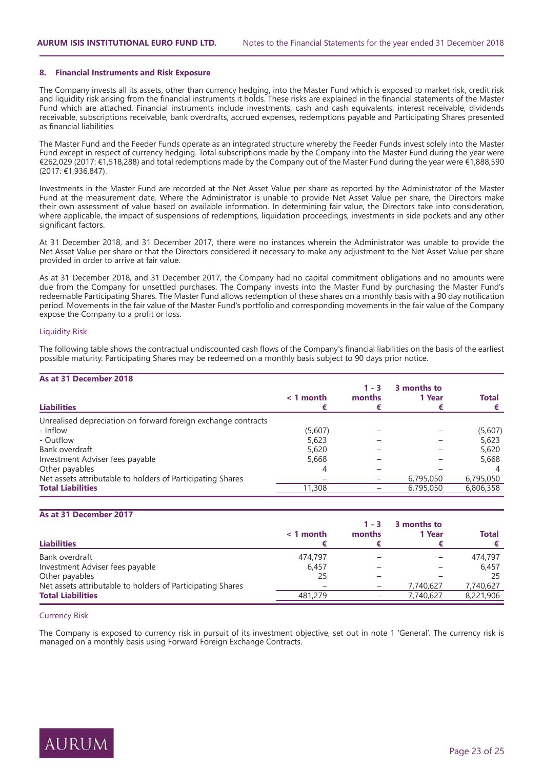#### **8. Financial Instruments and Risk Exposure**

The Company invests all its assets, other than currency hedging, into the Master Fund which is exposed to market risk, credit risk and liquidity risk arising from the financial instruments it holds. These risks are explained in the financial statements of the Master Fund which are attached. Financial instruments include investments, cash and cash equivalents, interest receivable, dividends receivable, subscriptions receivable, bank overdrafts, accrued expenses, redemptions payable and Participating Shares presented as financial liabilities.

The Master Fund and the Feeder Funds operate as an integrated structure whereby the Feeder Funds invest solely into the Master Fund except in respect of currency hedging. Total subscriptions made by the Company into the Master Fund during the year were €262,029 (2017: €1,518,288) and total redemptions made by the Company out of the Master Fund during the year were €1,888,590 (2017: €1,936,847).

Investments in the Master Fund are recorded at the Net Asset Value per share as reported by the Administrator of the Master Fund at the measurement date. Where the Administrator is unable to provide Net Asset Value per share, the Directors make their own assessment of value based on available information. In determining fair value, the Directors take into consideration, where applicable, the impact of suspensions of redemptions, liquidation proceedings, investments in side pockets and any other significant factors.

At 31 December 2018, and 31 December 2017, there were no instances wherein the Administrator was unable to provide the Net Asset Value per share or that the Directors considered it necessary to make any adjustment to the Net Asset Value per share provided in order to arrive at fair value.

As at 31 December 2018, and 31 December 2017, the Company had no capital commitment obligations and no amounts were due from the Company for unsettled purchases. The Company invests into the Master Fund by purchasing the Master Fund's redeemable Participating Shares. The Master Fund allows redemption of these shares on a monthly basis with a 90 day notification period. Movements in the fair value of the Master Fund's portfolio and corresponding movements in the fair value of the Company expose the Company to a profit or loss.

#### Liquidity Risk

The following table shows the contractual undiscounted cash flows of the Company's financial liabilities on the basis of the earliest possible maturity. Participating Shares may be redeemed on a monthly basis subject to 90 days prior notice.

| $< 1$ month | $1 - 3$<br>months | 3 months to<br>1 Year | <b>Total</b> |
|-------------|-------------------|-----------------------|--------------|
|             |                   |                       |              |
| (5,607)     |                   |                       | (5,607)      |
| 5,623       |                   |                       | 5,623        |
| 5,620       |                   |                       | 5,620        |
| 5,668       |                   |                       | 5,668        |
| 4           |                   |                       |              |
|             |                   | 6,795,050             | 6,795,050    |
| 11,308      |                   | 6,795,050             | 6,806,358    |
|             |                   |                       |              |

#### **As at 31 December 2017**

| $\leq 1$ month | $1 - 3$<br>months | 3 months to<br>1 Year | <b>Total</b> |
|----------------|-------------------|-----------------------|--------------|
| 474,797        |                   |                       | 474,797      |
| 6.457          |                   |                       | 6,457        |
| 25             |                   |                       |              |
|                | -                 | 7,740,627             | 7,740,627    |
| 481,279        |                   | 7,740,627             | 8,221,906    |
|                |                   |                       |              |

#### Currency Risk

The Company is exposed to currency risk in pursuit of its investment objective, set out in note 1 'General'. The currency risk is managed on a monthly basis using Forward Foreign Exchange Contracts.

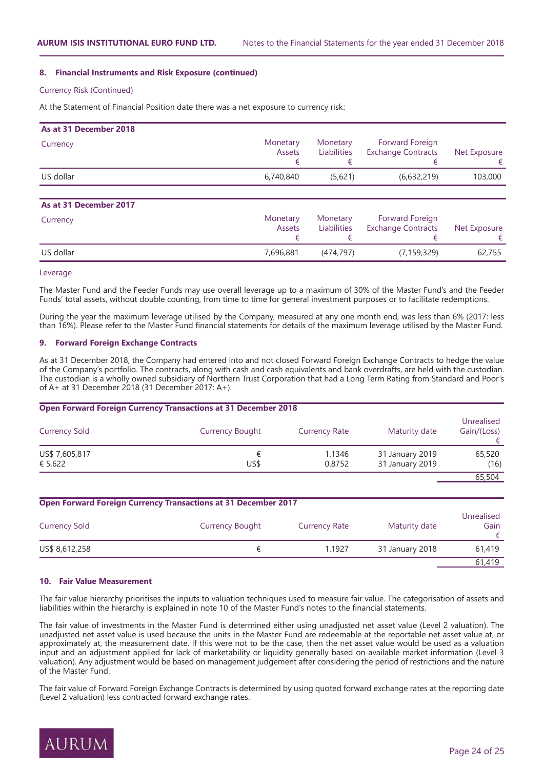#### **8. Financial Instruments and Risk Exposure (continued)**

#### Currency Risk (Continued)

At the Statement of Financial Position date there was a net exposure to currency risk:

| As at 31 December 2018 |                                |                              |                                                   |                   |
|------------------------|--------------------------------|------------------------------|---------------------------------------------------|-------------------|
| Currency               | Monetary<br><b>Assets</b>      | Monetary<br>Liabilities      | Forward Foreign<br><b>Exchange Contracts</b>      | Net Exposure<br>€ |
| US dollar              | 6,740,840                      | (5,621)                      | (6,632,219)                                       | 103,000           |
|                        |                                |                              |                                                   |                   |
| As at 31 December 2017 |                                |                              |                                                   |                   |
| Currency               | Monetary<br><b>Assets</b><br>€ | Monetary<br>Liabilities<br>€ | Forward Foreign<br><b>Exchange Contracts</b><br>€ | Net Exposure<br>€ |
| US dollar              | 7,696,881                      | (474, 797)                   | (7, 159, 329)                                     | 62,755            |
|                        |                                |                              |                                                   |                   |

#### Leverage

The Master Fund and the Feeder Funds may use overall leverage up to a maximum of 30% of the Master Fund's and the Feeder Funds' total assets, without double counting, from time to time for general investment purposes or to facilitate redemptions.

During the year the maximum leverage utilised by the Company, measured at any one month end, was less than 6% (2017: less than 16%). Please refer to the Master Fund financial statements for details of the maximum leverage utilised by the Master Fund.

#### **9. Forward Foreign Exchange Contracts**

As at 31 December 2018, the Company had entered into and not closed Forward Foreign Exchange Contracts to hedge the value of the Company's portfolio. The contracts, along with cash and cash equivalents and bank overdrafts, are held with the custodian. The custodian is a wholly owned subsidiary of Northern Trust Corporation that had a Long Term Rating from Standard and Poor's of A+ at 31 December 2018 (31 December 2017: A+).

| <b>Open Forward Foreign Currency Transactions at 31 December 2018</b> |                 |                      |                                    |                           |  |
|-----------------------------------------------------------------------|-----------------|----------------------|------------------------------------|---------------------------|--|
| <b>Currency Sold</b>                                                  | Currency Bought | <b>Currency Rate</b> | Maturity date                      | Unrealised<br>Gain/(Loss) |  |
| US\$ 7,605,817<br>€ 5,622                                             | US\$            | 1.1346<br>0.8752     | 31 January 2019<br>31 January 2019 | 65,520<br>(16)            |  |
|                                                                       |                 |                      |                                    | 65,504                    |  |

| <b>Open Forward Foreign Currency Transactions at 31 December 2017</b> |                        |                      |                 |                         |  |
|-----------------------------------------------------------------------|------------------------|----------------------|-----------------|-------------------------|--|
| <b>Currency Sold</b>                                                  | <b>Currency Bought</b> | <b>Currency Rate</b> | Maturity date   | Unrealised<br>Gain<br>€ |  |
| US\$ 8,612,258                                                        |                        | 1.1927               | 31 January 2018 | 61,419                  |  |
|                                                                       |                        |                      |                 | 61,419                  |  |

#### **10. Fair Value Measurement**

The fair value hierarchy prioritises the inputs to valuation techniques used to measure fair value. The categorisation of assets and liabilities within the hierarchy is explained in note 10 of the Master Fund's notes to the financial statements.

The fair value of investments in the Master Fund is determined either using unadiusted net asset value (Level 2 valuation). The unadjusted net asset value is used because the units in the Master Fund are redeemable at the reportable net asset value at, or approximately at, the measurement date. If this were not to be the case, then the net asset value would be used as a valuation input and an adjustment applied for lack of marketability or liquidity generally based on available market information (Level 3 valuation). Any adjustment would be based on management judgement after considering the period of restrictions and the nature of the Master Fund.

The fair value of Forward Foreign Exchange Contracts is determined by using quoted forward exchange rates at the reporting date (Level 2 valuation) less contracted forward exchange rates.